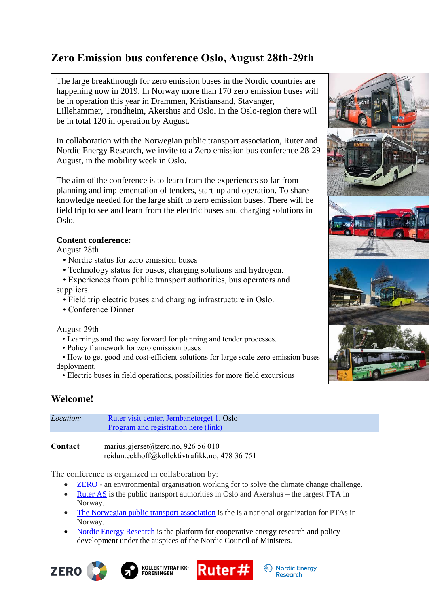# **Zero Emission bus conference Oslo, August 28th-29th**

The large breakthrough for zero emission buses in the Nordic countries are happening now in 2019. In Norway more than 170 zero emission buses will be in operation this year in Drammen, Kristiansand, Stavanger, Lillehammer, Trondheim, Akershus and Oslo. In the Oslo-region there will be in total 120 in operation by August.

In collaboration with the Norwegian public transport association, Ruter and Nordic Energy Research, we invite to a Zero emission bus conference 28-29 August, in the mobility week in Oslo.

The aim of the conference is to learn from the experiences so far from planning and implementation of tenders, start-up and operation. To share knowledge needed for the large shift to zero emission buses. There will be field trip to see and learn from the electric buses and charging solutions in Oslo.

## **Content conference:**

August 28th

- Nordic status for zero emission buses
- Technology status for buses, charging solutions and hydrogen.

 • Experiences from public transport authorities, bus operators and suppliers.

- Field trip electric buses and charging infrastructure in Oslo.
- Conference Dinner

August 29th

- Learnings and the way forward for planning and tender processes.
- Policy framework for zero emission buses
- How to get good and cost-efficient solutions for large scale zero emission buses deployment.
- Electric buses in field operations, possibilities for more field excursions

## **Welcome!**

| <i>Location:</i>  | Ruter visit center, Jernbanetorget 1. Oslo |  |
|-------------------|--------------------------------------------|--|
|                   | Program and registration here (link)       |  |
|                   |                                            |  |
| $\Gamma$ and a at | 0.2656010                                  |  |

**Contact** [marius.gjerset@zero.no,](mailto:marius.gjerset@zero.no) 926 56 010 [reidun.eckhoff@kollektivtrafikk.no,](mailto:reidun.eckhoff@kollektivtrafikk.no) 478 36 751

The conference is organized in collaboration by:

- **ZERO** an environmental organisation working for to solve the climate change challenge.
- Ruter AS is the public transport authorities in Oslo and Akershus the largest PTA in Norway.
- The Norwegian public transport association is the is a national organization for PTAs in Norway.
- Nordic Energy Research is the platform for cooperative energy research and policy development under the auspices of the Nordic Council of Ministers.





**FORENINGEN** 



**Nordic Energy** 

**Research** 

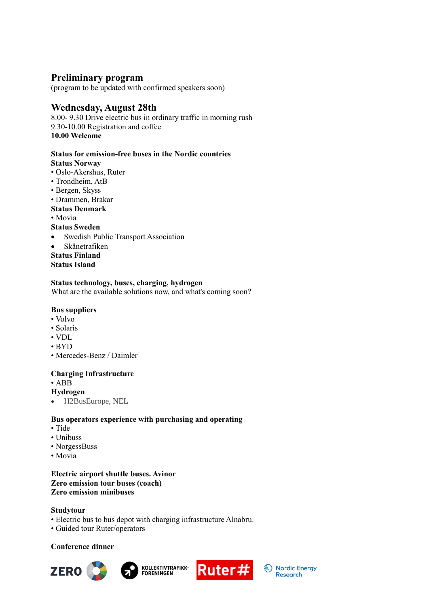## **Preliminary program**

(program to be updated with confirmed speakers soon)

## **Wednesday, August 28th**

8.00- 9.30 Drive electric bus in ordinary traffic in morning rush 9.30-10.00 Registration and coffee **10.00 Welcome**

#### **Status for emission-free buses in the Nordic countries Status Norway**

- Oslo-Akershus, Ruter
- Trondheim, AtB
- Bergen, Skyss
- Drammen, Brakar

#### **Status Denmark**

• Movia

#### **Status Sweden**

- Swedish Public Transport Association
- Skånetrafiken

**Status Finland Status Island**

#### **Status technology, buses, charging, hydrogen**

What are the available solutions now, and what's coming soon?

#### **Bus suppliers**

- Volvo
- Solaris
- VDL
- BYD
- Mercedes-Benz / Daimler

#### **Charging Infrastructure**

- ABB
- **Hydrogen**
- H2BusEurope, NEL

#### **Bus operators experience with purchasing and operating**

- Tide
- Unibuss
- NorgessBuss
- Movia

#### **Electric airport shuttle buses. Avinor Zero emission tour buses (coach) Zero emission minibuses**

#### **Studytour**

- Electric bus to bus depot with charging infrastructure Alnabru.
- Guided tour Ruter/operators

#### **Conference dinner**







Nordic Energy **Research**